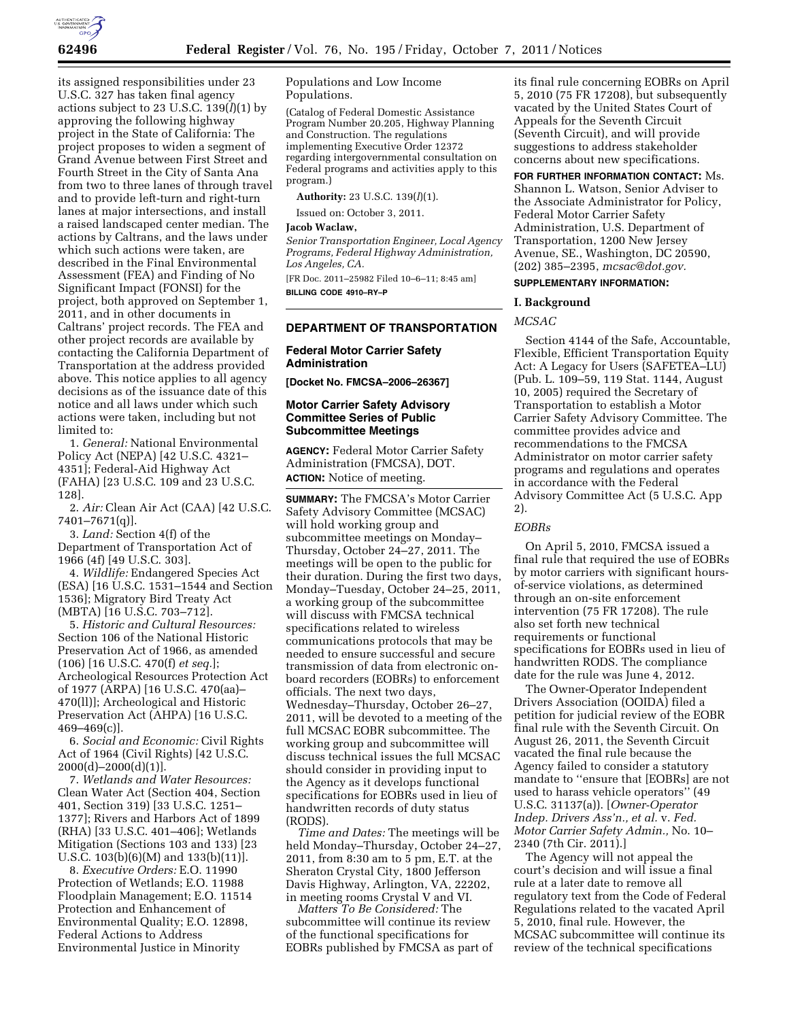

its assigned responsibilities under 23 U.S.C. 327 has taken final agency actions subject to 23 U.S.C.  $139(l)(1)$  by approving the following highway project in the State of California: The project proposes to widen a segment of Grand Avenue between First Street and Fourth Street in the City of Santa Ana from two to three lanes of through travel and to provide left-turn and right-turn lanes at major intersections, and install a raised landscaped center median. The actions by Caltrans, and the laws under which such actions were taken, are described in the Final Environmental Assessment (FEA) and Finding of No Significant Impact (FONSI) for the project, both approved on September 1, 2011, and in other documents in Caltrans' project records. The FEA and other project records are available by contacting the California Department of Transportation at the address provided above. This notice applies to all agency decisions as of the issuance date of this notice and all laws under which such actions were taken, including but not limited to:

1. *General:* National Environmental Policy Act (NEPA) [42 U.S.C. 4321– 4351]; Federal-Aid Highway Act (FAHA) [23 U.S.C. 109 and 23 U.S.C. 128].

2. *Air:* Clean Air Act (CAA) [42 U.S.C. 7401–7671(q)].

3. *Land:* Section 4(f) of the Department of Transportation Act of 1966 (4f) [49 U.S.C. 303].

4. *Wildlife:* Endangered Species Act (ESA) [16 U.S.C. 1531–1544 and Section 1536]; Migratory Bird Treaty Act (MBTA) [16 U.S.C. 703–712].

5. *Historic and Cultural Resources:*  Section 106 of the National Historic Preservation Act of 1966, as amended (106) [16 U.S.C. 470(f) *et seq.*]; Archeological Resources Protection Act of 1977 (ARPA) [16 U.S.C. 470(aa)– 470(ll)]; Archeological and Historic Preservation Act (AHPA) [16 U.S.C.  $469 - 469(c)$ ].

6. *Social and Economic:* Civil Rights Act of 1964 (Civil Rights) [42 U.S.C.  $2000(d) - 2000(d)(1)$ ].

7. *Wetlands and Water Resources:*  Clean Water Act (Section 404, Section 401, Section 319) [33 U.S.C. 1251– 1377]; Rivers and Harbors Act of 1899 (RHA) [33 U.S.C. 401–406]; Wetlands Mitigation (Sections 103 and 133) [23 U.S.C. 103(b)(6)(M) and 133(b)(11)].

8. *Executive Orders:* E.O. 11990 Protection of Wetlands; E.O. 11988 Floodplain Management; E.O. 11514 Protection and Enhancement of Environmental Quality; E.O. 12898, Federal Actions to Address Environmental Justice in Minority

Populations and Low Income Populations.

(Catalog of Federal Domestic Assistance Program Number 20.205, Highway Planning and Construction. The regulations implementing Executive Order 12372 regarding intergovernmental consultation on Federal programs and activities apply to this program.)

**Authority:** 23 U.S.C. 139(*l*)(1).

Issued on: October 3, 2011.

#### **Jacob Waclaw,**

*Senior Transportation Engineer, Local Agency Programs, Federal Highway Administration, Los Angeles, CA.* 

[FR Doc. 2011–25982 Filed 10–6–11; 8:45 am] **BILLING CODE 4910–RY–P** 

## **DEPARTMENT OF TRANSPORTATION**

# **Federal Motor Carrier Safety Administration**

**[Docket No. FMCSA–2006–26367]** 

### **Motor Carrier Safety Advisory Committee Series of Public Subcommittee Meetings**

**AGENCY:** Federal Motor Carrier Safety Administration (FMCSA), DOT. **ACTION:** Notice of meeting.

**SUMMARY:** The FMCSA's Motor Carrier Safety Advisory Committee (MCSAC) will hold working group and subcommittee meetings on Monday– Thursday, October 24–27, 2011. The meetings will be open to the public for their duration. During the first two days, Monday–Tuesday, October 24–25, 2011, a working group of the subcommittee will discuss with FMCSA technical specifications related to wireless communications protocols that may be needed to ensure successful and secure transmission of data from electronic onboard recorders (EOBRs) to enforcement officials. The next two days, Wednesday–Thursday, October 26–27, 2011, will be devoted to a meeting of the full MCSAC EOBR subcommittee. The working group and subcommittee will discuss technical issues the full MCSAC should consider in providing input to the Agency as it develops functional specifications for EOBRs used in lieu of handwritten records of duty status (RODS).

*Time and Dates:* The meetings will be held Monday–Thursday, October 24–27, 2011, from 8:30 am to 5 pm, E.T. at the Sheraton Crystal City, 1800 Jefferson Davis Highway, Arlington, VA, 22202, in meeting rooms Crystal V and VI.

*Matters To Be Considered:* The subcommittee will continue its review of the functional specifications for EOBRs published by FMCSA as part of its final rule concerning EOBRs on April 5, 2010 (75 FR 17208), but subsequently vacated by the United States Court of Appeals for the Seventh Circuit (Seventh Circuit), and will provide suggestions to address stakeholder concerns about new specifications.

**FOR FURTHER INFORMATION CONTACT:** Ms. Shannon L. Watson, Senior Adviser to the Associate Administrator for Policy, Federal Motor Carrier Safety Administration, U.S. Department of Transportation, 1200 New Jersey Avenue, SE., Washington, DC 20590, (202) 385–2395, *[mcsac@dot.gov.](mailto:mcsac@dot.gov)* 

# **SUPPLEMENTARY INFORMATION:**

#### **I. Background**

*MCSAC* 

Section 4144 of the Safe, Accountable, Flexible, Efficient Transportation Equity Act: A Legacy for Users (SAFETEA–LU) (Pub. L. 109–59, 119 Stat. 1144, August 10, 2005) required the Secretary of Transportation to establish a Motor Carrier Safety Advisory Committee. The committee provides advice and recommendations to the FMCSA Administrator on motor carrier safety programs and regulations and operates in accordance with the Federal Advisory Committee Act (5 U.S.C. App 2).

# *EOBRs*

On April 5, 2010, FMCSA issued a final rule that required the use of EOBRs by motor carriers with significant hoursof-service violations, as determined through an on-site enforcement intervention (75 FR 17208). The rule also set forth new technical requirements or functional specifications for EOBRs used in lieu of handwritten RODS. The compliance date for the rule was June 4, 2012.

The Owner-Operator Independent Drivers Association (OOIDA) filed a petition for judicial review of the EOBR final rule with the Seventh Circuit. On August 26, 2011, the Seventh Circuit vacated the final rule because the Agency failed to consider a statutory mandate to ''ensure that [EOBRs] are not used to harass vehicle operators'' (49 U.S.C. 31137(a)). [*Owner-Operator Indep. Drivers Ass'n., et al.* v. *Fed. Motor Carrier Safety Admin.,* No. 10– 2340 (7th Cir. 2011).]

The Agency will not appeal the court's decision and will issue a final rule at a later date to remove all regulatory text from the Code of Federal Regulations related to the vacated April 5, 2010, final rule. However, the MCSAC subcommittee will continue its review of the technical specifications